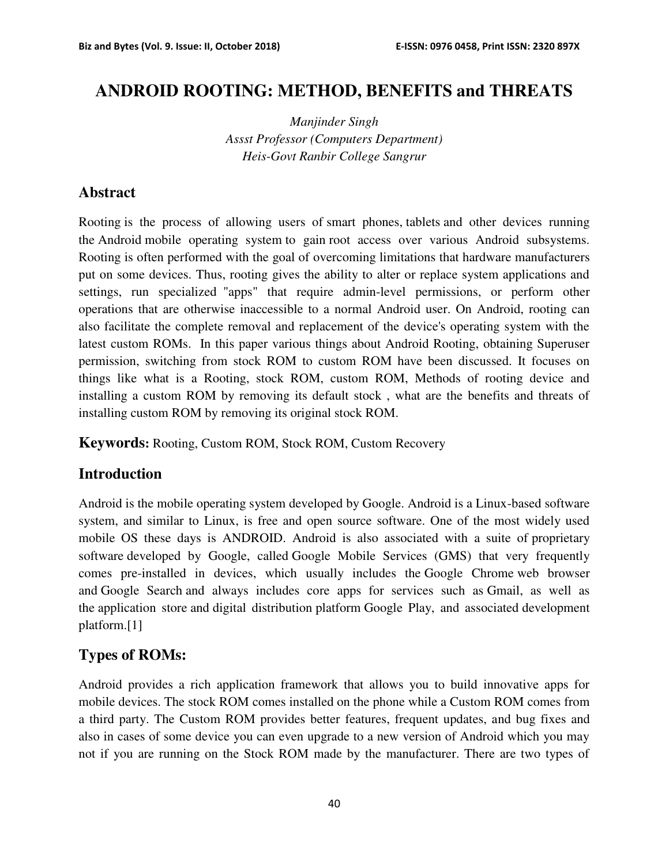# **ANDROID ROOTING: METHOD, BENEFITS and THREATS**

*Manjinder Singh Assst Professor (Computers Department) Heis-Govt Ranbir College Sangrur*

### **Abstract**

Rooting is the process of allowing users of smart phones, tablets and other devices running the Android mobile operating system to gain root access over various Android subsystems. Rooting is often performed with the goal of overcoming limitations that hardware manufacturers put on some devices. Thus, rooting gives the ability to alter or replace system applications and settings, run specialized "apps" that require admin-level permissions, or perform other operations that are otherwise inaccessible to a normal Android user. On Android, rooting can also facilitate the complete removal and replacement of the device's operating system with the latest custom ROMs. In this paper various things about Android Rooting, obtaining Superuser permission, switching from stock ROM to custom ROM have been discussed. It focuses on things like what is a Rooting, stock ROM, custom ROM, Methods of rooting device and installing a custom ROM by removing its default stock , what are the benefits and threats of installing custom ROM by removing its original stock ROM.

**Keywords:** Rooting, Custom ROM, Stock ROM, Custom Recovery

### **Introduction**

Android is the mobile operating system developed by Google. Android is a Linux-based software system, and similar to Linux, is free and open source software. One of the most widely used mobile OS these days is ANDROID. Android is also associated with a suite of proprietary software developed by Google, called Google Mobile Services (GMS) that very frequently comes pre-installed in devices, which usually includes the Google Chrome web browser and Google Search and always includes core apps for services such as Gmail, as well as the application store and digital distribution platform Google Play, and associated development platform.[1]

## **Types of ROMs:**

Android provides a rich application framework that allows you to build innovative apps for mobile devices. The stock ROM comes installed on the phone while a Custom ROM comes from a third party. The Custom ROM provides better features, frequent updates, and bug fixes and also in cases of some device you can even upgrade to a new version of Android which you may not if you are running on the Stock ROM made by the manufacturer. There are two types of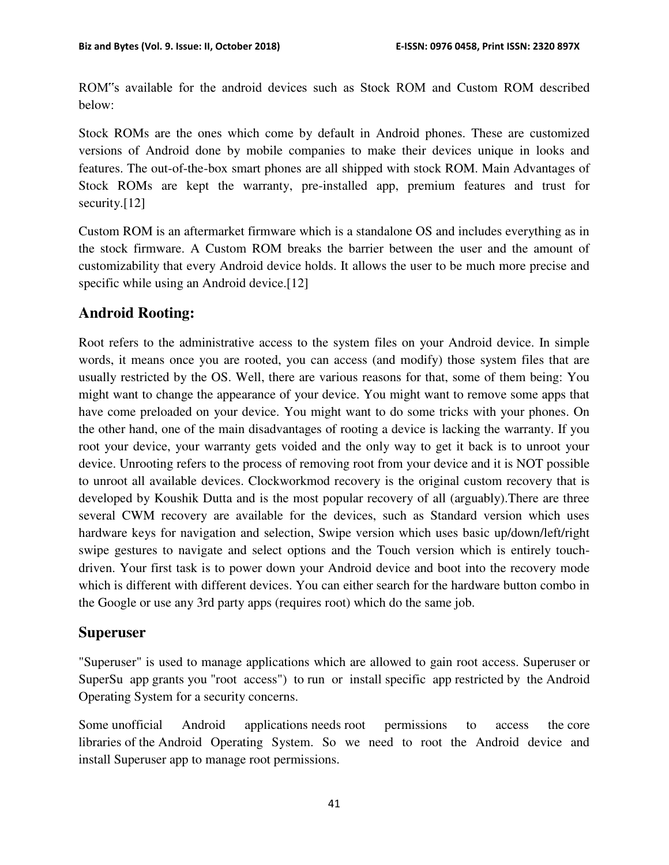ROM"s available for the android devices such as Stock ROM and Custom ROM described below:

Stock ROMs are the ones which come by default in Android phones. These are customized versions of Android done by mobile companies to make their devices unique in looks and features. The out-of-the-box smart phones are all shipped with stock ROM. Main Advantages of Stock ROMs are kept the warranty, pre-installed app, premium features and trust for security.[12]

Custom ROM is an aftermarket firmware which is a standalone OS and includes everything as in the stock firmware. A Custom ROM breaks the barrier between the user and the amount of customizability that every Android device holds. It allows the user to be much more precise and specific while using an Android device.<sup>[12]</sup>

# **Android Rooting:**

Root refers to the administrative access to the system files on your Android device. In simple words, it means once you are rooted, you can access (and modify) those system files that are usually restricted by the OS. Well, there are various reasons for that, some of them being: You might want to change the appearance of your device. You might want to remove some apps that have come preloaded on your device. You might want to do some tricks with your phones. On the other hand, one of the main disadvantages of rooting a device is lacking the warranty. If you root your device, your warranty gets voided and the only way to get it back is to unroot your device. Unrooting refers to the process of removing root from your device and it is NOT possible to unroot all available devices. Clockworkmod recovery is the original custom recovery that is developed by Koushik Dutta and is the most popular recovery of all (arguably).There are three several CWM recovery are available for the devices, such as Standard version which uses hardware keys for navigation and selection, Swipe version which uses basic up/down/left/right swipe gestures to navigate and select options and the Touch version which is entirely touchdriven. Your first task is to power down your Android device and boot into the recovery mode which is different with different devices. You can either search for the hardware button combo in the Google or use any 3rd party apps (requires root) which do the same job.

## **Superuser**

"Superuser" is used to manage applications which are allowed to gain root access. Superuser or SuperSu app grants you "root access") to run or install specific app restricted by the Android Operating System for a security concerns.

Some unofficial Android applications needs root permissions to access the core libraries of the Android Operating System. So we need to root the Android device and install Superuser app to manage root permissions.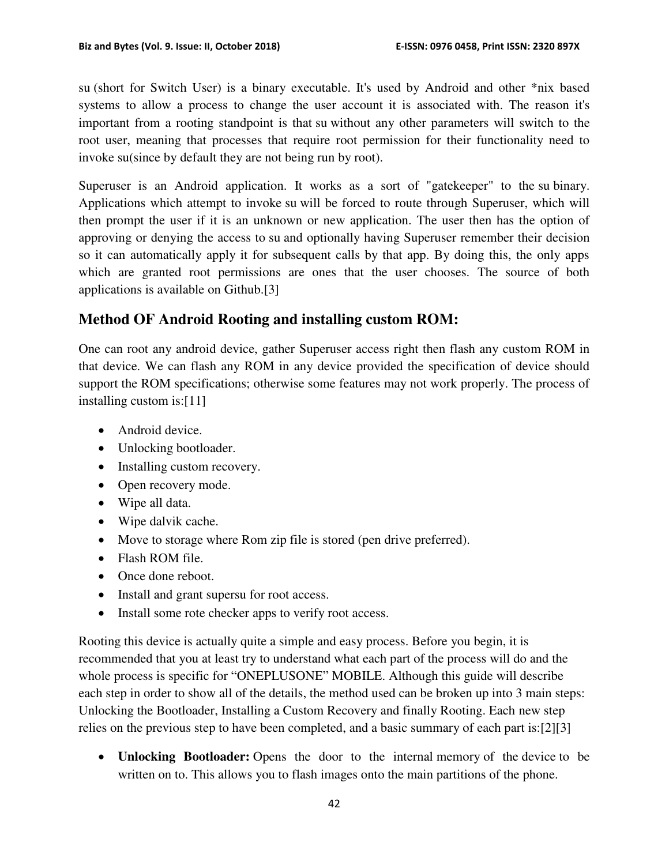su (short for Switch User) is a binary executable. It's used by Android and other \*nix based systems to allow a process to change the user account it is associated with. The reason it's important from a rooting standpoint is that su without any other parameters will switch to the root user, meaning that processes that require root permission for their functionality need to invoke su(since by default they are not being run by root).

Superuser is an Android application. It works as a sort of "gatekeeper" to the su binary. Applications which attempt to invoke su will be forced to route through Superuser, which will then prompt the user if it is an unknown or new application. The user then has the option of approving or denying the access to su and optionally having Superuser remember their decision so it can automatically apply it for subsequent calls by that app. By doing this, the only apps which are granted root permissions are ones that the user chooses. The source of both applications is available on Github.[3]

# **Method OF Android Rooting and installing custom ROM:**

One can root any android device, gather Superuser access right then flash any custom ROM in that device. We can flash any ROM in any device provided the specification of device should support the ROM specifications; otherwise some features may not work properly. The process of installing custom is:[11]

- Android device.
- Unlocking bootloader.
- Installing custom recovery.
- Open recovery mode.
- Wipe all data.
- Wipe dalvik cache.
- Move to storage where Rom zip file is stored (pen drive preferred).
- Flash ROM file.
- Once done reboot.
- Install and grant supersu for root access.
- Install some rote checker apps to verify root access.

Rooting this device is actually quite a simple and easy process. Before you begin, it is recommended that you at least try to understand what each part of the process will do and the whole process is specific for "ONEPLUSONE" MOBILE. Although this guide will describe each step in order to show all of the details, the method used can be broken up into 3 main steps: Unlocking the Bootloader, Installing a Custom Recovery and finally Rooting. Each new step relies on the previous step to have been completed, and a basic summary of each part is:[2][3]

 **Unlocking Bootloader:** Opens the door to the internal memory of the device to be written on to. This allows you to flash images onto the main partitions of the phone.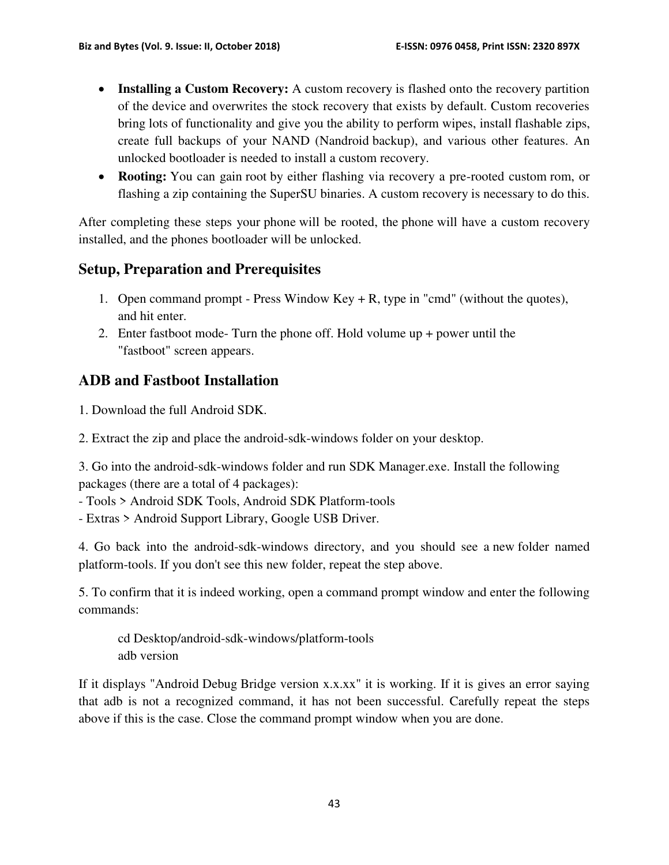- **Installing a Custom Recovery:** A custom recovery is flashed onto the recovery partition of the device and overwrites the stock recovery that exists by default. Custom recoveries bring lots of functionality and give you the ability to perform wipes, install flashable zips, create full backups of your NAND (Nandroid backup), and various other features. An unlocked bootloader is needed to install a custom recovery.
- **Rooting:** You can gain root by either flashing via recovery a pre-rooted custom rom, or flashing a zip containing the SuperSU binaries. A custom recovery is necessary to do this.

After completing these steps your phone will be rooted, the phone will have a custom recovery installed, and the phones bootloader will be unlocked.

# **Setup, Preparation and Prerequisites**

- 1. Open command prompt Press Window Key + R, type in "cmd" (without the quotes), and hit enter.
- 2. Enter fastboot mode- Turn the phone off. Hold volume up + power until the "fastboot" screen appears.

# **ADB and Fastboot Installation**

1. Download the full Android SDK.

2. Extract the zip and place the android-sdk-windows folder on your desktop.

3. Go into the android-sdk-windows folder and run SDK Manager.exe. Install the following packages (there are a total of 4 packages):

- Tools > Android SDK Tools, Android SDK Platform-tools

- Extras > Android Support Library, Google USB Driver.

4. Go back into the android-sdk-windows directory, and you should see a new folder named platform-tools. If you don't see this new folder, repeat the step above.

5. To confirm that it is indeed working, open a command prompt window and enter the following commands:

cd Desktop/android-sdk-windows/platform-tools adb version

If it displays "Android Debug Bridge version x.x.xx" it is working. If it is gives an error saying that adb is not a recognized command, it has not been successful. Carefully repeat the steps above if this is the case. Close the command prompt window when you are done.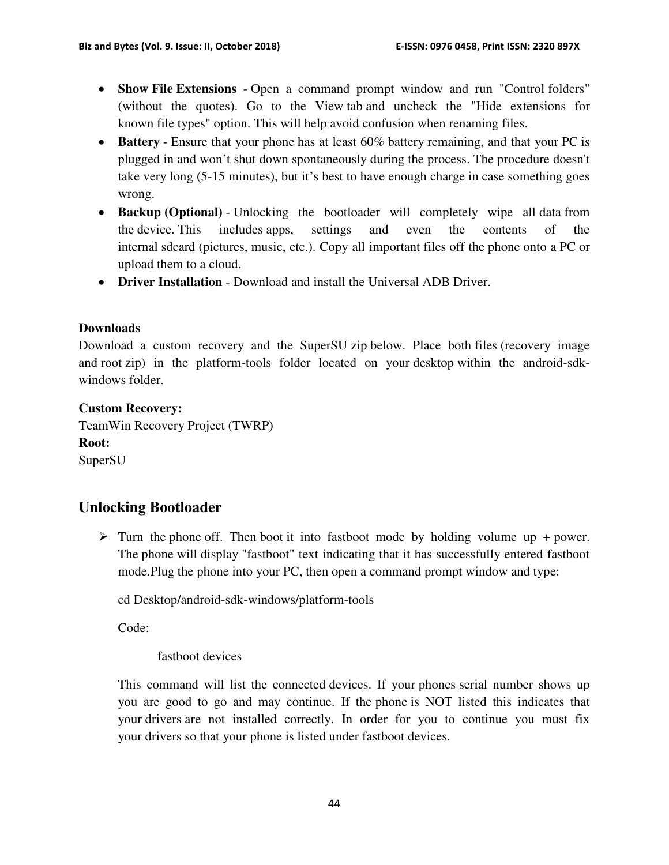- **Show File Extensions** Open a command prompt window and run "Control folders" (without the quotes). Go to the View tab and uncheck the "Hide extensions for known file types" option. This will help avoid confusion when renaming files.
- **Battery**  Ensure that your phone has at least 60% battery remaining, and that your PC is plugged in and won't shut down spontaneously during the process. The procedure doesn't take very long (5-15 minutes), but it's best to have enough charge in case something goes wrong.
- **Backup (Optional)** Unlocking the bootloader will completely wipe all data from the device. This includes apps, settings and even the contents of the internal sdcard (pictures, music, etc.). Copy all important files off the phone onto a PC or upload them to a cloud.
- **Driver Installation** Download and install the Universal ADB Driver.

#### **Downloads**

Download a custom recovery and the SuperSU zip below. Place both files (recovery image and root zip) in the platform-tools folder located on your desktop within the android-sdkwindows folder.

#### **Custom Recovery:**

TeamWin Recovery Project (TWRP) **Root:** SuperSU

## **Unlocking Bootloader**

 $\triangleright$  Turn the phone off. Then boot it into fastboot mode by holding volume up + power. The phone will display "fastboot" text indicating that it has successfully entered fastboot mode.Plug the phone into your PC, then open a command prompt window and type:

cd Desktop/android-sdk-windows/platform-tools

Code:

#### fastboot devices

This command will list the connected devices. If your phones serial number shows up you are good to go and may continue. If the phone is NOT listed this indicates that your drivers are not installed correctly. In order for you to continue you must fix your drivers so that your phone is listed under fastboot devices.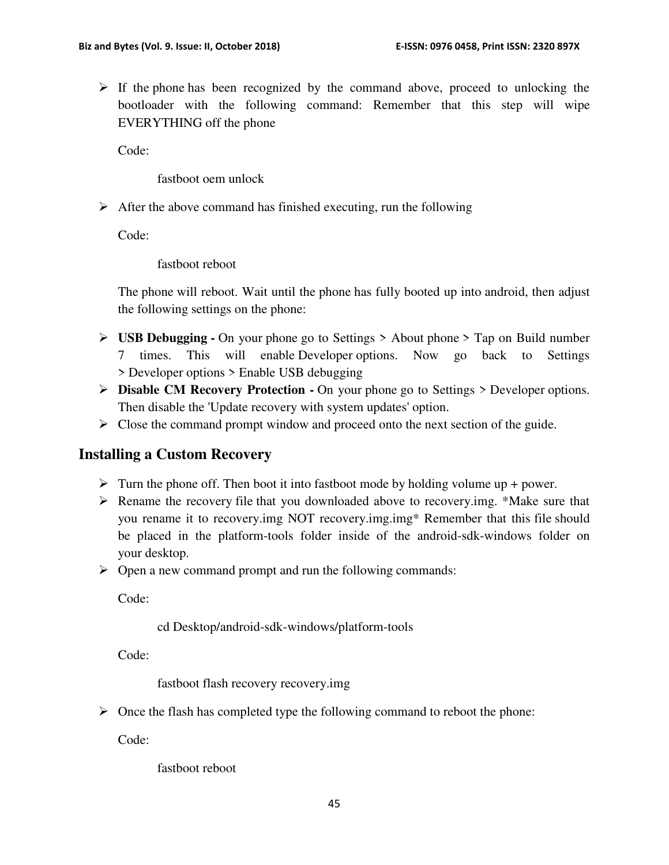$\triangleright$  If the phone has been recognized by the command above, proceed to unlocking the bootloader with the following command: Remember that this step will wipe EVERYTHING off the phone

Code:

fastboot oem unlock

 $\triangleright$  After the above command has finished executing, run the following

Code:

fastboot reboot

The phone will reboot. Wait until the phone has fully booted up into android, then adjust the following settings on the phone:

- **USB Debugging -** On your phone go to Settings > About phone > Tap on Build number 7 times. This will enable Developer options. Now go back to Settings > Developer options > Enable USB debugging
- **Disable CM Recovery Protection -** On your phone go to Settings > Developer options. Then disable the 'Update recovery with system updates' option.
- $\triangleright$  Close the command prompt window and proceed onto the next section of the guide.

## **Installing a Custom Recovery**

- $\triangleright$  Turn the phone off. Then boot it into fastboot mode by holding volume up + power.
- $\triangleright$  Rename the recovery file that you downloaded above to recovery.img. \*Make sure that you rename it to recovery.img NOT recovery.img.img\* Remember that this file should be placed in the platform-tools folder inside of the android-sdk-windows folder on your desktop.
- Open a new command prompt and run the following commands:

Code:

cd Desktop/android-sdk-windows/platform-tools

Code:

fastboot flash recovery recovery.img

 $\triangleright$  Once the flash has completed type the following command to reboot the phone:

Code:

fastboot reboot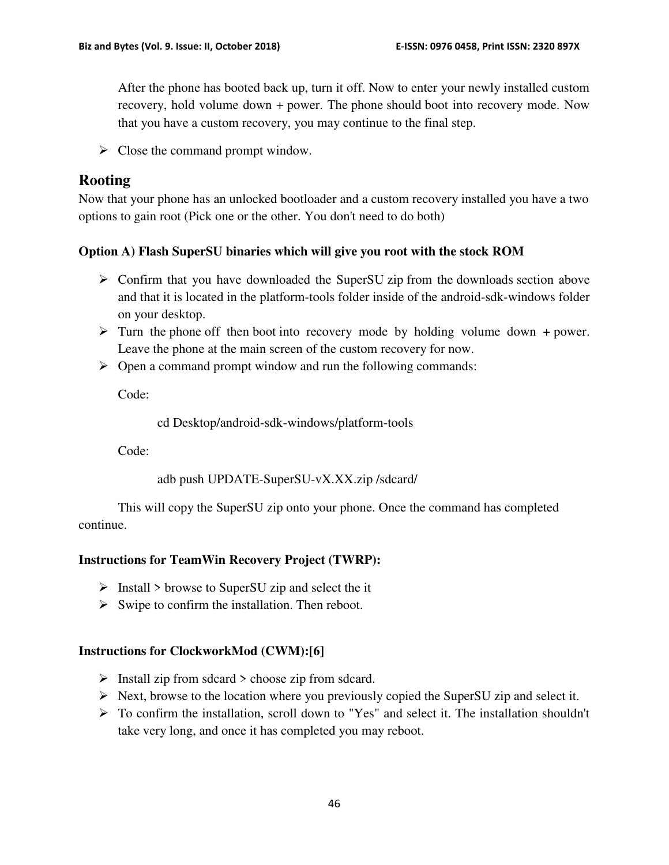After the phone has booted back up, turn it off. Now to enter your newly installed custom recovery, hold volume down + power. The phone should boot into recovery mode. Now that you have a custom recovery, you may continue to the final step.

 $\triangleright$  Close the command prompt window.

## **Rooting**

Now that your phone has an unlocked bootloader and a custom recovery installed you have a two options to gain root (Pick one or the other. You don't need to do both)

### **Option A) Flash SuperSU binaries which will give you root with the stock ROM**

- $\triangleright$  Confirm that you have downloaded the SuperSU zip from the downloads section above and that it is located in the platform-tools folder inside of the android-sdk-windows folder on your desktop.
- $\triangleright$  Turn the phone off then boot into recovery mode by holding volume down + power. Leave the phone at the main screen of the custom recovery for now.
- $\triangleright$  Open a command prompt window and run the following commands:

Code:

cd Desktop/android-sdk-windows/platform-tools

Code:

adb push UPDATE-SuperSU-vX.XX.zip /sdcard/

This will copy the SuperSU zip onto your phone. Once the command has completed continue.

### **Instructions for TeamWin Recovery Project (TWRP):**

- $\triangleright$  Install  $\triangleright$  browse to SuperSU zip and select the it
- $\triangleright$  Swipe to confirm the installation. Then reboot.

### **Instructions for ClockworkMod (CWM):[6]**

- $\triangleright$  Install zip from sdcard  $\triangleright$  choose zip from sdcard.
- $\triangleright$  Next, browse to the location where you previously copied the SuperSU zip and select it.
- To confirm the installation, scroll down to "Yes" and select it. The installation shouldn't take very long, and once it has completed you may reboot.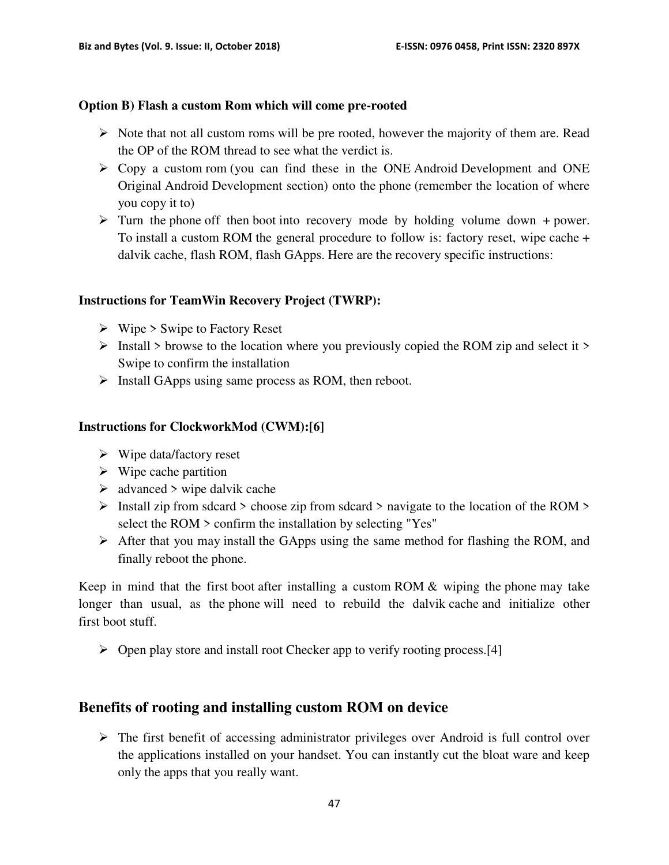#### **Option B) Flash a custom Rom which will come pre-rooted**

- $\triangleright$  Note that not all custom roms will be pre rooted, however the majority of them are. Read the OP of the ROM thread to see what the verdict is.
- $\triangleright$  Copy a custom rom (you can find these in the ONE Android Development and ONE Original Android Development section) onto the phone (remember the location of where you copy it to)
- $\triangleright$  Turn the phone off then boot into recovery mode by holding volume down + power. To install a custom ROM the general procedure to follow is: factory reset, wipe cache + dalvik cache, flash ROM, flash GApps. Here are the recovery specific instructions:

#### **Instructions for TeamWin Recovery Project (TWRP):**

- $\triangleright$  Wipe  $\triangleright$  Swipe to Factory Reset
- $\triangleright$  Install  $\triangleright$  browse to the location where you previously copied the ROM zip and select it  $\triangleright$ Swipe to confirm the installation
- $\triangleright$  Install GApps using same process as ROM, then reboot.

#### **Instructions for ClockworkMod (CWM):[6]**

- $\triangleright$  Wipe data/factory reset
- $\triangleright$  Wipe cache partition
- $\triangleright$  advanced  $\triangleright$  wipe dalvik cache
- $\triangleright$  Install zip from sdcard  $\triangleright$  choose zip from sdcard  $\triangleright$  navigate to the location of the ROM  $\triangleright$ select the ROM > confirm the installation by selecting "Yes"
- $\triangleright$  After that you may install the GApps using the same method for flashing the ROM, and finally reboot the phone.

Keep in mind that the first boot after installing a custom ROM & wiping the phone may take longer than usual, as the phone will need to rebuild the dalvik cache and initialize other first boot stuff.

 $\triangleright$  Open play store and install root Checker app to verify rooting process.[4]

## **Benefits of rooting and installing custom ROM on device**

 $\triangleright$  The first benefit of accessing administrator privileges over Android is full control over the applications installed on your handset. You can instantly cut the bloat ware and keep only the apps that you really want.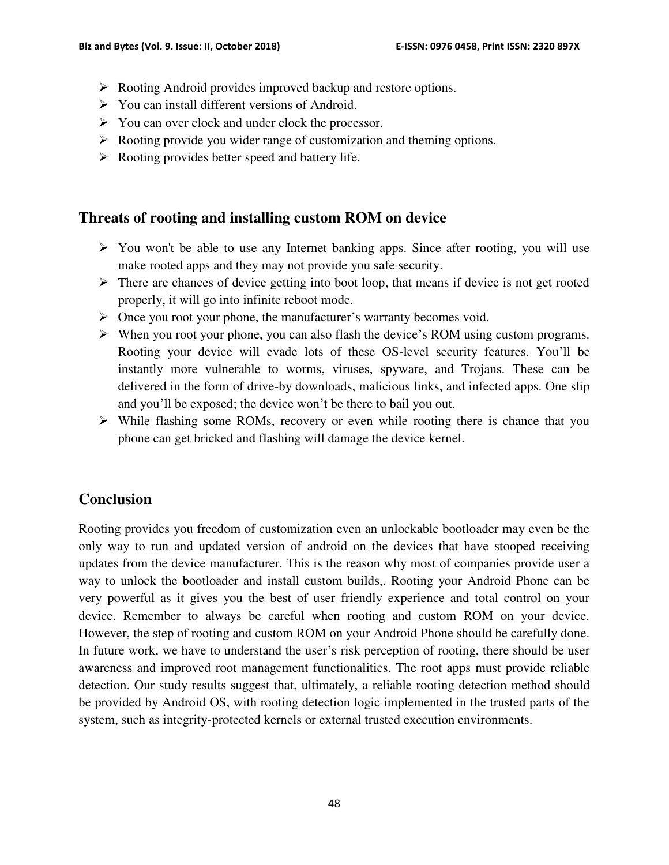- ▶ Rooting Android provides improved backup and restore options.
- $\triangleright$  You can install different versions of Android.
- $\triangleright$  You can over clock and under clock the processor.
- $\triangleright$  Rooting provide you wider range of customization and theming options.
- $\triangleright$  Rooting provides better speed and battery life.

### **Threats of rooting and installing custom ROM on device**

- $\triangleright$  You won't be able to use any Internet banking apps. Since after rooting, you will use make rooted apps and they may not provide you safe security.
- $\triangleright$  There are chances of device getting into boot loop, that means if device is not get rooted properly, it will go into infinite reboot mode.
- $\triangleright$  Once you root your phone, the manufacturer's warranty becomes void.
- When you root your phone, you can also flash the device's ROM using custom programs. Rooting your device will evade lots of these OS-level security features. You'll be instantly more vulnerable to worms, viruses, spyware, and Trojans. These can be delivered in the form of drive-by downloads, malicious links, and infected apps. One slip and you'll be exposed; the device won't be there to bail you out.
- While flashing some ROMs, recovery or even while rooting there is chance that you phone can get bricked and flashing will damage the device kernel.

## **Conclusion**

Rooting provides you freedom of customization even an unlockable bootloader may even be the only way to run and updated version of android on the devices that have stooped receiving updates from the device manufacturer. This is the reason why most of companies provide user a way to unlock the bootloader and install custom builds,. Rooting your Android Phone can be very powerful as it gives you the best of user friendly experience and total control on your device. Remember to always be careful when rooting and custom ROM on your device. However, the step of rooting and custom ROM on your Android Phone should be carefully done. In future work, we have to understand the user's risk perception of rooting, there should be user awareness and improved root management functionalities. The root apps must provide reliable detection. Our study results suggest that, ultimately, a reliable rooting detection method should be provided by Android OS, with rooting detection logic implemented in the trusted parts of the system, such as integrity-protected kernels or external trusted execution environments.